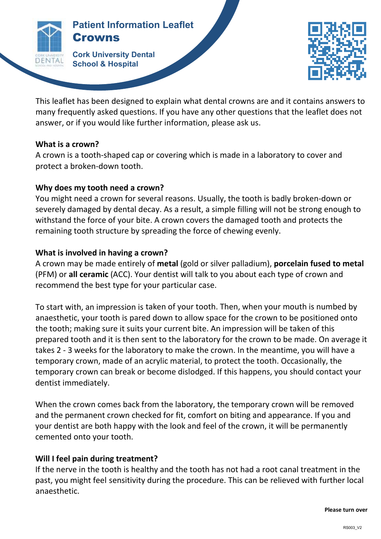

## **Patient Information Leaflet Patient Information Leaflet** Crowns

**Cork University Dental School & Hospital**



This leaflet has been designed to explain what dental crowns are and it contains answers to many frequently asked questions. If you have any other questions that the leaflet does not answer, or if you would like further information, please ask us.

### **What is a crown?**

A crown is a tooth-shaped cap or covering which is made in a laboratory to cover and protect a broken-down tooth.

## **Why does my tooth need a crown?**

You might need a crown for several reasons. Usually, the tooth is badly broken-down or severely damaged by dental decay. As a result, a simple filling will not be strong enough to withstand the force of your bite. A crown covers the damaged tooth and protects the remaining tooth structure by spreading the force of chewing evenly.

## **What is involved in having a crown?**

A crown may be made entirely of **metal** (gold or silver palladium), **porcelain fused to metal** (PFM) or **all ceramic** (ACC). Your dentist will talk to you about each type of crown and recommend the best type for your particular case.

To start with, an impression is taken of your tooth. Then, when your mouth is numbed by anaesthetic, your tooth is pared down to allow space for the crown to be positioned onto the tooth; making sure it suits your current bite. An impression will be taken of this prepared tooth and it is then sent to the laboratory for the crown to be made. On average it takes 2 - 3 weeks for the laboratory to make the crown. In the meantime, you will have a temporary crown, made of an acrylic material, to protect the tooth. Occasionally, the temporary crown can break or become dislodged. If this happens, you should contact your dentist immediately.

When the crown comes back from the laboratory, the temporary crown will be removed and the permanent crown checked for fit, comfort on biting and appearance. If you and your dentist are both happy with the look and feel of the crown, it will be permanently cemented onto your tooth.

# **Will I feel pain during treatment?**

If the nerve in the tooth is healthy and the tooth has not had a root canal treatment in the past, you might feel sensitivity during the procedure. This can be relieved with further local anaesthetic.